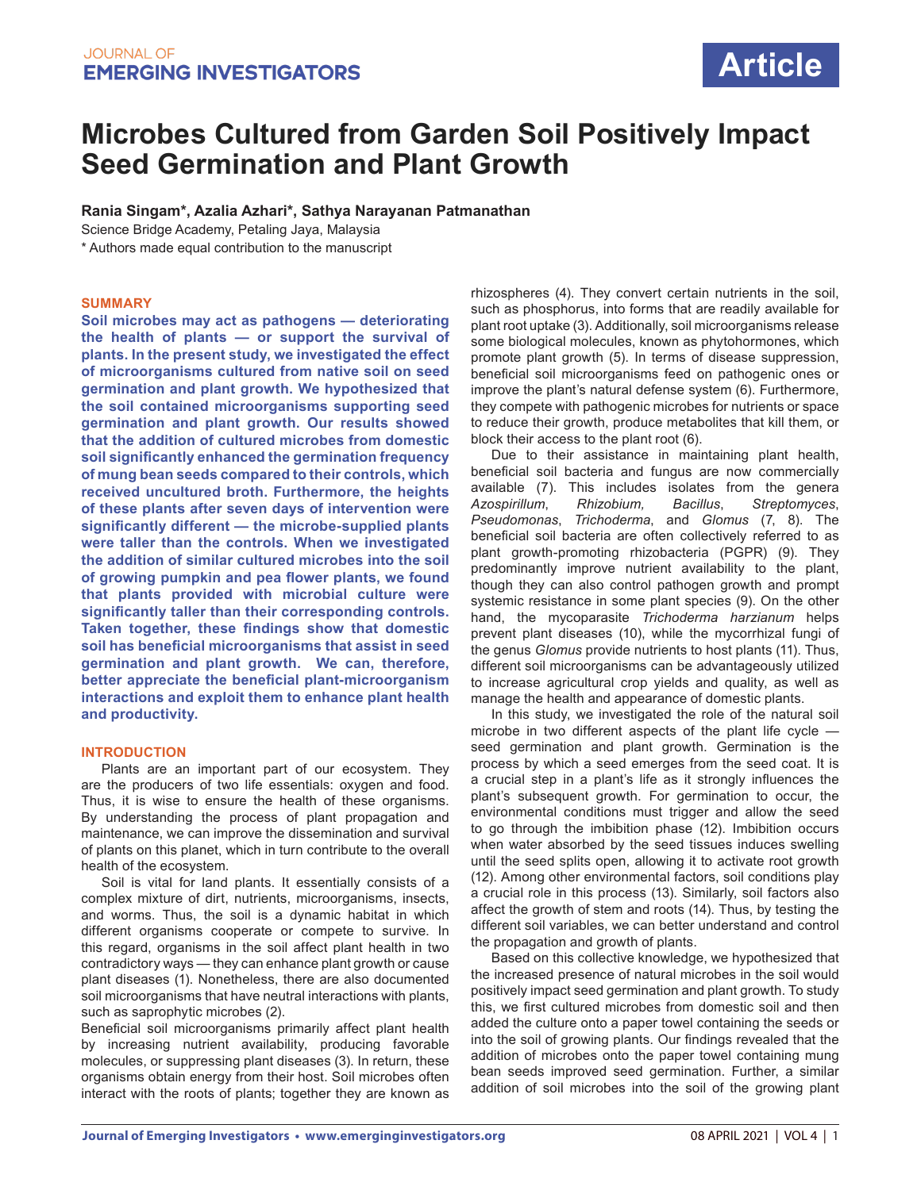# **Microbes Cultured from Garden Soil Positively Impact Seed Germination and Plant Growth**

**Rania Singam\*, Azalia Azhari\*, Sathya Narayanan Patmanathan**

Science Bridge Academy, Petaling Jaya, Malaysia

\* Authors made equal contribution to the manuscript

#### **SUMMARY**

**Soil microbes may act as pathogens — deteriorating the health of plants — or support the survival of plants. In the present study, we investigated the effect of microorganisms cultured from native soil on seed germination and plant growth. We hypothesized that the soil contained microorganisms supporting seed germination and plant growth. Our results showed that the addition of cultured microbes from domestic soil significantly enhanced the germination frequency of mung bean seeds compared to their controls, which received uncultured broth. Furthermore, the heights of these plants after seven days of intervention were significantly different — the microbe-supplied plants were taller than the controls. When we investigated the addition of similar cultured microbes into the soil of growing pumpkin and pea flower plants, we found that plants provided with microbial culture were significantly taller than their corresponding controls. Taken together, these findings show that domestic soil has beneficial microorganisms that assist in seed germination and plant growth. We can, therefore, better appreciate the beneficial plant-microorganism interactions and exploit them to enhance plant health and productivity.** 

## **INTRODUCTION**

Plants are an important part of our ecosystem. They are the producers of two life essentials: oxygen and food. Thus, it is wise to ensure the health of these organisms. By understanding the process of plant propagation and maintenance, we can improve the dissemination and survival of plants on this planet, which in turn contribute to the overall health of the ecosystem.

Soil is vital for land plants. It essentially consists of a complex mixture of dirt, nutrients, microorganisms, insects, and worms. Thus, the soil is a dynamic habitat in which different organisms cooperate or compete to survive. In this regard, organisms in the soil affect plant health in two contradictory ways — they can enhance plant growth or cause plant diseases (1). Nonetheless, there are also documented soil microorganisms that have neutral interactions with plants, such as saprophytic microbes (2).

Beneficial soil microorganisms primarily affect plant health by increasing nutrient availability, producing favorable molecules, or suppressing plant diseases (3). In return, these organisms obtain energy from their host. Soil microbes often interact with the roots of plants; together they are known as rhizospheres (4). They convert certain nutrients in the soil, such as phosphorus, into forms that are readily available for plant root uptake (3). Additionally, soil microorganisms release some biological molecules, known as phytohormones, which promote plant growth (5). In terms of disease suppression, beneficial soil microorganisms feed on pathogenic ones or improve the plant's natural defense system (6). Furthermore, they compete with pathogenic microbes for nutrients or space to reduce their growth, produce metabolites that kill them, or block their access to the plant root (6).

Due to their assistance in maintaining plant health, beneficial soil bacteria and fungus are now commercially available (7). This includes isolates from the genera *Azospirillum*, *Rhizobium, Bacillus*, *Streptomyces*, *Pseudomonas*, *Trichoderma*, and *Glomus* (7, 8). The beneficial soil bacteria are often collectively referred to as plant growth-promoting rhizobacteria (PGPR) (9). They predominantly improve nutrient availability to the plant, though they can also control pathogen growth and prompt systemic resistance in some plant species (9). On the other hand, the mycoparasite *Trichoderma harzianum* helps prevent plant diseases (10), while the mycorrhizal fungi of the genus *Glomus* provide nutrients to host plants (11). Thus, different soil microorganisms can be advantageously utilized to increase agricultural crop yields and quality, as well as manage the health and appearance of domestic plants.

In this study, we investigated the role of the natural soil microbe in two different aspects of the plant life cycle seed germination and plant growth. Germination is the process by which a seed emerges from the seed coat. It is a crucial step in a plant's life as it strongly influences the plant's subsequent growth. For germination to occur, the environmental conditions must trigger and allow the seed to go through the imbibition phase (12). Imbibition occurs when water absorbed by the seed tissues induces swelling until the seed splits open, allowing it to activate root growth (12). Among other environmental factors, soil conditions play a crucial role in this process (13). Similarly, soil factors also affect the growth of stem and roots (14). Thus, by testing the different soil variables, we can better understand and control the propagation and growth of plants.

Based on this collective knowledge, we hypothesized that the increased presence of natural microbes in the soil would positively impact seed germination and plant growth. To study this, we first cultured microbes from domestic soil and then added the culture onto a paper towel containing the seeds or into the soil of growing plants. Our findings revealed that the addition of microbes onto the paper towel containing mung bean seeds improved seed germination. Further, a similar addition of soil microbes into the soil of the growing plant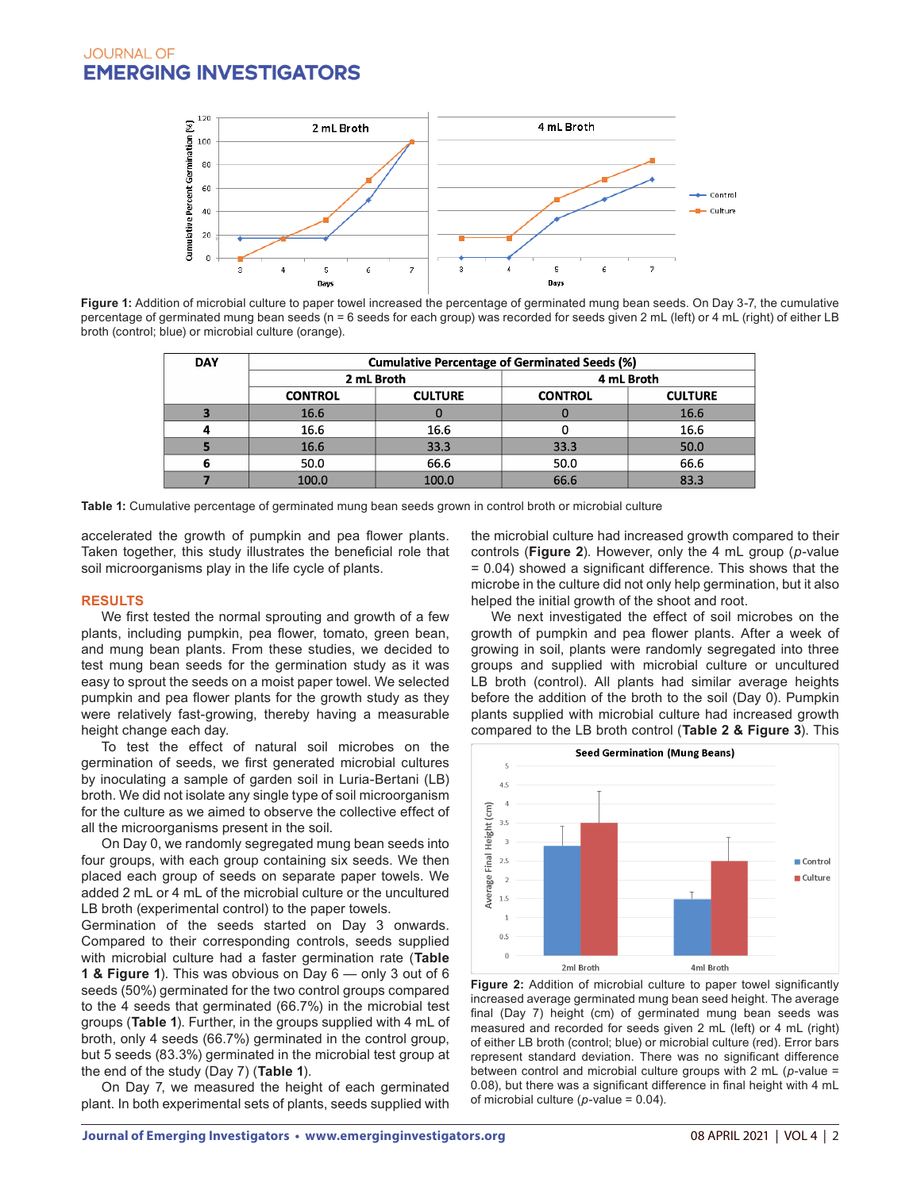

Figure 1: Addition of microbial culture to paper towel increased the percentage of germinated mung bean seeds. On Day 3-7, the cumulative percentage of germinated mung bean seeds (n = 6 seeds for each group) was recorded for seeds given 2 mL (left) or 4 mL (right) of either LB broth (control; blue) or microbial culture (orange).

| <b>DAY</b> | <b>Cumulative Percentage of Germinated Seeds (%)</b> |                |                |                |  |  |  |
|------------|------------------------------------------------------|----------------|----------------|----------------|--|--|--|
|            |                                                      | 2 mL Broth     | 4 mL Broth     |                |  |  |  |
|            | <b>CONTROL</b>                                       | <b>CULTURE</b> | <b>CONTROL</b> | <b>CULTURE</b> |  |  |  |
|            | 16.6                                                 |                |                | 16.6           |  |  |  |
|            | 16.6                                                 | 16.6           |                | 16.6           |  |  |  |
|            | 16.6                                                 | 33.3           | 33.3           | 50.0           |  |  |  |
| D          | 50.0                                                 | 66.6           | 50.0           | 66.6           |  |  |  |
|            | 100.0                                                | 100.0          | 66.6           | 83.3           |  |  |  |

**Table 1:** Cumulative percentage of germinated mung bean seeds grown in control broth or microbial culture

accelerated the growth of pumpkin and pea flower plants. Taken together, this study illustrates the beneficial role that soil microorganisms play in the life cycle of plants.

#### **RESULTS**

We first tested the normal sprouting and growth of a few plants, including pumpkin, pea flower, tomato, green bean, and mung bean plants. From these studies, we decided to test mung bean seeds for the germination study as it was easy to sprout the seeds on a moist paper towel. We selected pumpkin and pea flower plants for the growth study as they were relatively fast-growing, thereby having a measurable height change each day.

To test the effect of natural soil microbes on the germination of seeds, we first generated microbial cultures by inoculating a sample of garden soil in Luria-Bertani (LB) broth. We did not isolate any single type of soil microorganism for the culture as we aimed to observe the collective effect of all the microorganisms present in the soil.

On Day 0, we randomly segregated mung bean seeds into four groups, with each group containing six seeds. We then placed each group of seeds on separate paper towels. We added 2 mL or 4 mL of the microbial culture or the uncultured LB broth (experimental control) to the paper towels.

Germination of the seeds started on Day 3 onwards. Compared to their corresponding controls, seeds supplied with microbial culture had a faster germination rate (**Table 1 & Figure 1**). This was obvious on Day 6 — only 3 out of 6 seeds (50%) germinated for the two control groups compared to the 4 seeds that germinated (66.7%) in the microbial test groups (**Table 1**). Further, in the groups supplied with 4 mL of broth, only 4 seeds (66.7%) germinated in the control group, but 5 seeds (83.3%) germinated in the microbial test group at the end of the study (Day 7) (**Table 1**).

On Day 7, we measured the height of each germinated plant. In both experimental sets of plants, seeds supplied with

the microbial culture had increased growth compared to their controls (**Figure 2**). However, only the 4 mL group (*p*-value = 0.04) showed a significant difference. This shows that the microbe in the culture did not only help germination, but it also helped the initial growth of the shoot and root.

We next investigated the effect of soil microbes on the growth of pumpkin and pea flower plants. After a week of growing in soil, plants were randomly segregated into three groups and supplied with microbial culture or uncultured LB broth (control). All plants had similar average heights before the addition of the broth to the soil (Day 0). Pumpkin plants supplied with microbial culture had increased growth compared to the LB broth control (**Table 2 & Figure 3**). This



**Figure 2:** Addition of microbial culture to paper towel significantly increased average germinated mung bean seed height. The average final (Day 7) height (cm) of germinated mung bean seeds was measured and recorded for seeds given 2 mL (left) or 4 mL (right) of either LB broth (control; blue) or microbial culture (red). Error bars represent standard deviation. There was no significant difference between control and microbial culture groups with 2 mL (*p*-value = 0.08), but there was a significant difference in final height with 4 mL of microbial culture (*p*-value = 0.04).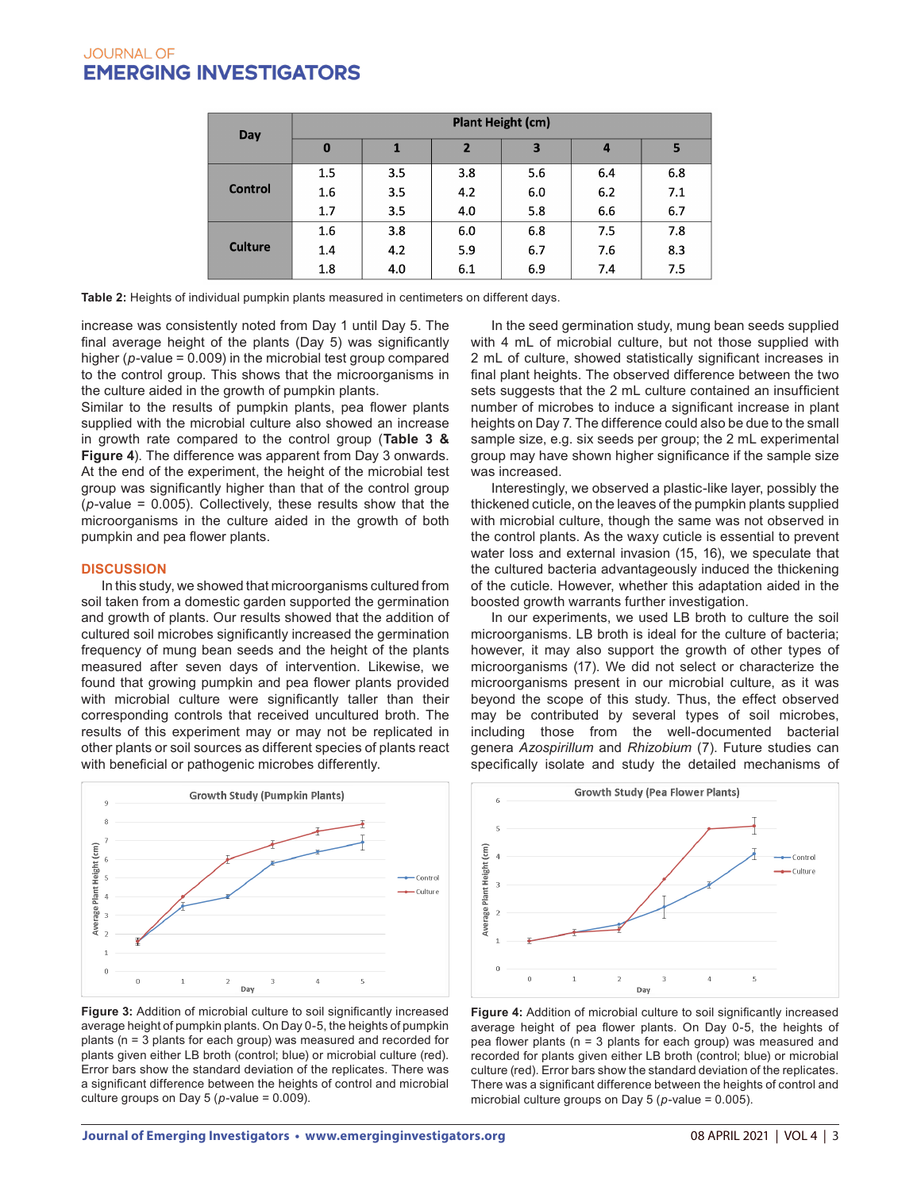| Day            | <b>Plant Height (cm)</b> |     |                |              |     |     |  |
|----------------|--------------------------|-----|----------------|--------------|-----|-----|--|
|                | $\bf{0}$                 |     | $\overline{2}$ | $\mathbf{3}$ | 4   | 5   |  |
| <b>Control</b> | 1.5                      | 3.5 | 3.8            | 5.6          | 6.4 | 6.8 |  |
|                | 1.6                      | 3.5 | 4.2            | 6.0          | 6.2 | 7.1 |  |
|                | 1.7                      | 3.5 | 4.0            | 5.8          | 6.6 | 6.7 |  |
| <b>Culture</b> | 1.6                      | 3.8 | 6.0            | 6.8          | 7.5 | 7.8 |  |
|                | 1.4                      | 4.2 | 5.9            | 6.7          | 7.6 | 8.3 |  |
|                | 1.8                      | 4.0 | 6.1            | 6.9          | 7.4 | 7.5 |  |

**Table 2:** Heights of individual pumpkin plants measured in centimeters on different days.

increase was consistently noted from Day 1 until Day 5. The final average height of the plants (Day 5) was significantly higher (*p*-value = 0.009) in the microbial test group compared to the control group. This shows that the microorganisms in the culture aided in the growth of pumpkin plants.

Similar to the results of pumpkin plants, pea flower plants supplied with the microbial culture also showed an increase in growth rate compared to the control group (**Table 3 & Figure 4**). The difference was apparent from Day 3 onwards. At the end of the experiment, the height of the microbial test group was significantly higher than that of the control group (*p*-value = 0.005). Collectively, these results show that the microorganisms in the culture aided in the growth of both pumpkin and pea flower plants.

## **DISCUSSION**

In this study, we showed that microorganisms cultured from soil taken from a domestic garden supported the germination and growth of plants. Our results showed that the addition of cultured soil microbes significantly increased the germination frequency of mung bean seeds and the height of the plants measured after seven days of intervention. Likewise, we found that growing pumpkin and pea flower plants provided with microbial culture were significantly taller than their corresponding controls that received uncultured broth. The results of this experiment may or may not be replicated in other plants or soil sources as different species of plants react with beneficial or pathogenic microbes differently.



**Figure 3:** Addition of microbial culture to soil significantly increased average height of pumpkin plants. On Day 0-5, the heights of pumpkin plants (n = 3 plants for each group) was measured and recorded for plants given either LB broth (control; blue) or microbial culture (red). Error bars show the standard deviation of the replicates. There was a significant difference between the heights of control and microbial culture groups on Day  $5$  ( $p$ -value = 0.009).

In the seed germination study, mung bean seeds supplied with 4 mL of microbial culture, but not those supplied with 2 mL of culture, showed statistically significant increases in final plant heights. The observed difference between the two sets suggests that the 2 mL culture contained an insufficient number of microbes to induce a significant increase in plant heights on Day 7. The difference could also be due to the small sample size, e.g. six seeds per group; the 2 mL experimental group may have shown higher significance if the sample size was increased.

Interestingly, we observed a plastic-like layer, possibly the thickened cuticle, on the leaves of the pumpkin plants supplied with microbial culture, though the same was not observed in the control plants. As the waxy cuticle is essential to prevent water loss and external invasion (15, 16), we speculate that the cultured bacteria advantageously induced the thickening of the cuticle. However, whether this adaptation aided in the boosted growth warrants further investigation.

In our experiments, we used LB broth to culture the soil microorganisms. LB broth is ideal for the culture of bacteria; however, it may also support the growth of other types of microorganisms (17). We did not select or characterize the microorganisms present in our microbial culture, as it was beyond the scope of this study. Thus, the effect observed may be contributed by several types of soil microbes, including those from the well-documented bacterial genera *Azospirillum* and *Rhizobium* (7). Future studies can specifically isolate and study the detailed mechanisms of



**Figure 4:** Addition of microbial culture to soil significantly increased average height of pea flower plants. On Day 0-5, the heights of pea flower plants (n = 3 plants for each group) was measured and recorded for plants given either LB broth (control; blue) or microbial culture (red). Error bars show the standard deviation of the replicates. There was a significant difference between the heights of control and microbial culture groups on Day 5 (*p*-value = 0.005).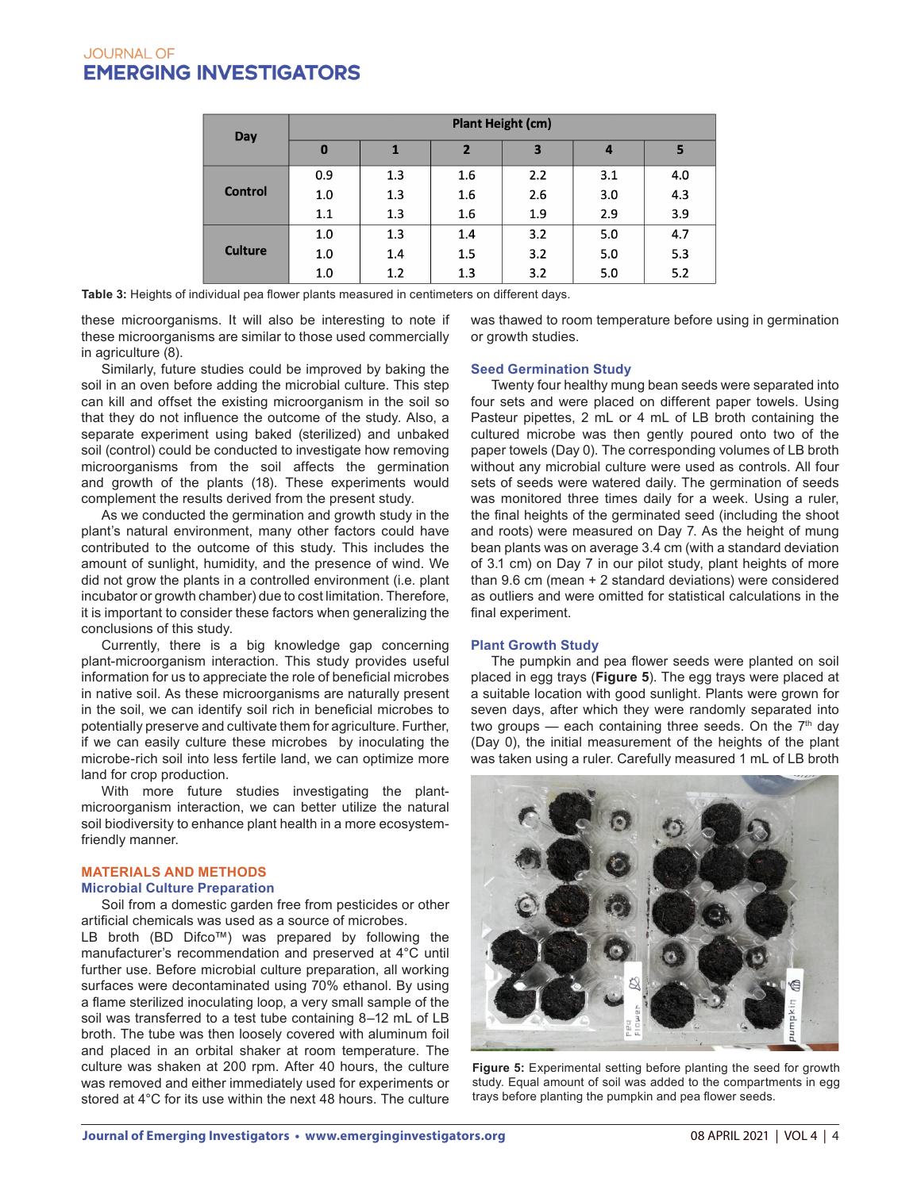| Day            | <b>Plant Height (cm)</b> |     |                |                         |     |     |  |
|----------------|--------------------------|-----|----------------|-------------------------|-----|-----|--|
|                | $\bf{0}$                 | 1   | $\overline{2}$ | $\overline{\mathbf{3}}$ | 4   | 5   |  |
| <b>Control</b> | 0.9                      | 1.3 | 1.6            | 2.2                     | 3.1 | 4.0 |  |
|                | 1.0                      | 1.3 | 1.6            | 2.6                     | 3.0 | 4.3 |  |
|                | 1.1                      | 1.3 | 1.6            | 1.9                     | 2.9 | 3.9 |  |
| <b>Culture</b> | 1.0                      | 1.3 | 1.4            | 3.2                     | 5.0 | 4.7 |  |
|                | 1.0                      | 1.4 | 1.5            | 3.2                     | 5.0 | 5.3 |  |
|                | 1.0                      | 1.2 | 1.3            | 3.2                     | 5.0 | 5.2 |  |

**Table 3:** Heights of individual pea flower plants measured in centimeters on different days.

these microorganisms. It will also be interesting to note if these microorganisms are similar to those used commercially in agriculture (8).

Similarly, future studies could be improved by baking the soil in an oven before adding the microbial culture. This step can kill and offset the existing microorganism in the soil so that they do not influence the outcome of the study. Also, a separate experiment using baked (sterilized) and unbaked soil (control) could be conducted to investigate how removing microorganisms from the soil affects the germination and growth of the plants (18). These experiments would complement the results derived from the present study.

As we conducted the germination and growth study in the plant's natural environment, many other factors could have contributed to the outcome of this study. This includes the amount of sunlight, humidity, and the presence of wind. We did not grow the plants in a controlled environment (i.e. plant incubator or growth chamber) due to cost limitation. Therefore, it is important to consider these factors when generalizing the conclusions of this study.

Currently, there is a big knowledge gap concerning plant-microorganism interaction. This study provides useful information for us to appreciate the role of beneficial microbes in native soil. As these microorganisms are naturally present in the soil, we can identify soil rich in beneficial microbes to potentially preserve and cultivate them for agriculture. Further, if we can easily culture these microbes by inoculating the microbe-rich soil into less fertile land, we can optimize more land for crop production.

With more future studies investigating the plantmicroorganism interaction, we can better utilize the natural soil biodiversity to enhance plant health in a more ecosystemfriendly manner.

## **MATERIALS AND METHODS**

#### **Microbial Culture Preparation**

Soil from a domestic garden free from pesticides or other artificial chemicals was used as a source of microbes.

LB broth (BD Difco™) was prepared by following the manufacturer's recommendation and preserved at 4°C until further use. Before microbial culture preparation, all working surfaces were decontaminated using 70% ethanol. By using a flame sterilized inoculating loop, a very small sample of the soil was transferred to a test tube containing 8–12 mL of LB broth. The tube was then loosely covered with aluminum foil and placed in an orbital shaker at room temperature. The culture was shaken at 200 rpm. After 40 hours, the culture was removed and either immediately used for experiments or stored at 4°C for its use within the next 48 hours. The culture was thawed to room temperature before using in germination or growth studies.

## **Seed Germination Study**

Twenty four healthy mung bean seeds were separated into four sets and were placed on different paper towels. Using Pasteur pipettes, 2 mL or 4 mL of LB broth containing the cultured microbe was then gently poured onto two of the paper towels (Day 0). The corresponding volumes of LB broth without any microbial culture were used as controls. All four sets of seeds were watered daily. The germination of seeds was monitored three times daily for a week. Using a ruler, the final heights of the germinated seed (including the shoot and roots) were measured on Day 7. As the height of mung bean plants was on average 3.4 cm (with a standard deviation of 3.1 cm) on Day 7 in our pilot study, plant heights of more than 9.6 cm (mean + 2 standard deviations) were considered as outliers and were omitted for statistical calculations in the final experiment.

## **Plant Growth Study**

The pumpkin and pea flower seeds were planted on soil placed in egg trays (**Figure 5**). The egg trays were placed at a suitable location with good sunlight. Plants were grown for seven days, after which they were randomly separated into two groups  $-$  each containing three seeds. On the  $7<sup>th</sup>$  day (Day 0), the initial measurement of the heights of the plant was taken using a ruler. Carefully measured 1 mL of LB broth



**Figure 5:** Experimental setting before planting the seed for growth study. Equal amount of soil was added to the compartments in egg trays before planting the pumpkin and pea flower seeds.